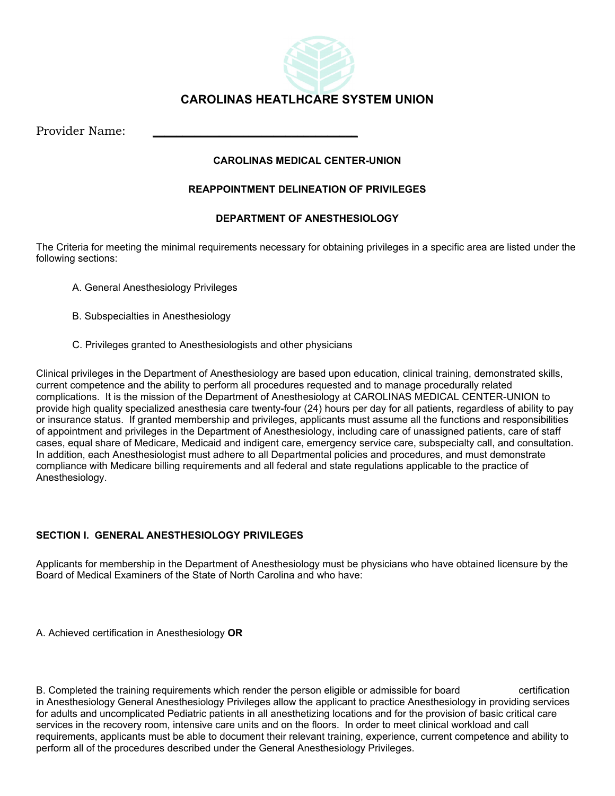

# **CAROLINAS HEATLHCARE SYSTEM UNION**

Provider Name:

## **CAROLINAS MEDICAL CENTER-UNION**

## **REAPPOINTMENT DELINEATION OF PRIVILEGES**

# **DEPARTMENT OF ANESTHESIOLOGY**

The Criteria for meeting the minimal requirements necessary for obtaining privileges in a specific area are listed under the following sections:

- A. General Anesthesiology Privileges
- B. Subspecialties in Anesthesiology
- C. Privileges granted to Anesthesiologists and other physicians

Clinical privileges in the Department of Anesthesiology are based upon education, clinical training, demonstrated skills, current competence and the ability to perform all procedures requested and to manage procedurally related complications. It is the mission of the Department of Anesthesiology at CAROLINAS MEDICAL CENTER-UNION to provide high quality specialized anesthesia care twenty-four (24) hours per day for all patients, regardless of ability to pay or insurance status. If granted membership and privileges, applicants must assume all the functions and responsibilities of appointment and privileges in the Department of Anesthesiology, including care of unassigned patients, care of staff cases, equal share of Medicare, Medicaid and indigent care, emergency service care, subspecialty call, and consultation. In addition, each Anesthesiologist must adhere to all Departmental policies and procedures, and must demonstrate compliance with Medicare billing requirements and all federal and state regulations applicable to the practice of Anesthesiology.

# **SECTION I. GENERAL ANESTHESIOLOGY PRIVILEGES**

Applicants for membership in the Department of Anesthesiology must be physicians who have obtained licensure by the Board of Medical Examiners of the State of North Carolina and who have:

A. Achieved certification in Anesthesiology **OR**

B. Completed the training requirements which render the person eligible or admissible for board certification in Anesthesiology General Anesthesiology Privileges allow the applicant to practice Anesthesiology in providing services for adults and uncomplicated Pediatric patients in all anesthetizing locations and for the provision of basic critical care services in the recovery room, intensive care units and on the floors. In order to meet clinical workload and call requirements, applicants must be able to document their relevant training, experience, current competence and ability to perform all of the procedures described under the General Anesthesiology Privileges.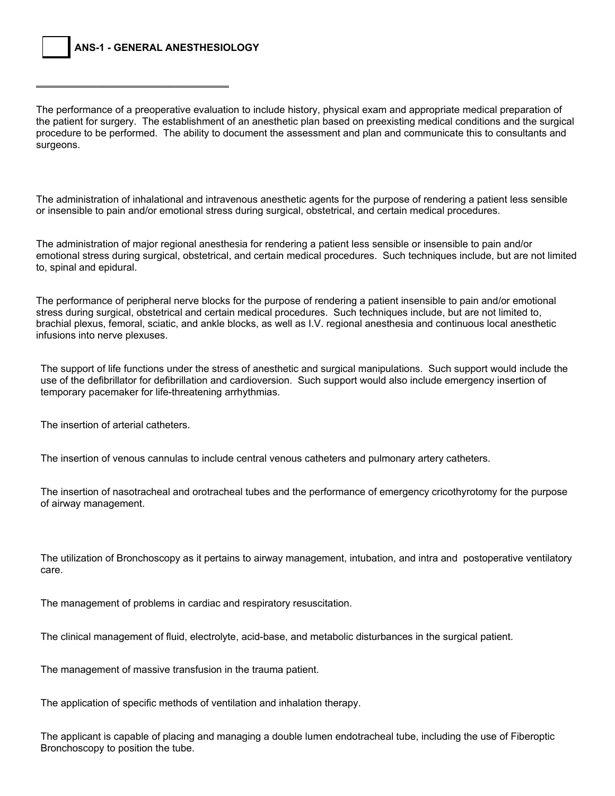\_\_\_\_\_\_\_\_\_\_\_\_\_\_\_\_\_\_\_\_\_\_\_\_\_\_\_\_\_\_\_\_

The performance of a preoperative evaluation to include history, physical exam and appropriate medical preparation of the patient for surgery. The establishment of an anesthetic plan based on preexisting medical conditions and the surgical procedure to be performed. The ability to document the assessment and plan and communicate this to consultants and surgeons.

The administration of inhalational and intravenous anesthetic agents for the purpose of rendering a patient less sensible or insensible to pain and/or emotional stress during surgical, obstetrical, and certain medical procedures.

The administration of major regional anesthesia for rendering a patient less sensible or insensible to pain and/or emotional stress during surgical, obstetrical, and certain medical procedures. Such techniques include, but are not limited to, spinal and epidural.

The performance of peripheral nerve blocks for the purpose of rendering a patient insensible to pain and/or emotional stress during surgical, obstetrical and certain medical procedures. Such techniques include, but are not limited to, brachial plexus, femoral, sciatic, and ankle blocks, as well as I.V. regional anesthesia and continuous local anesthetic infusions into nerve plexuses.

 The support of life functions under the stress of anesthetic and surgical manipulations. Such support would include the use of the defibrillator for defibrillation and cardioversion. Such support would also include emergency insertion of temporary pacemaker for life-threatening arrhythmias.

The insertion of arterial catheters.

The insertion of venous cannulas to include central venous catheters and pulmonary artery catheters.

 The insertion of nasotracheal and orotracheal tubes and the performance of emergency cricothyrotomy for the purpose of airway management.

The utilization of Bronchoscopy as it pertains to airway management, intubation, and intra and postoperative ventilatory care.

The management of problems in cardiac and respiratory resuscitation.

The clinical management of fluid, electrolyte, acid-base, and metabolic disturbances in the surgical patient.

The management of massive transfusion in the trauma patient.

The application of specific methods of ventilation and inhalation therapy.

The applicant is capable of placing and managing a double lumen endotracheal tube, including the use of Fiberoptic Bronchoscopy to position the tube.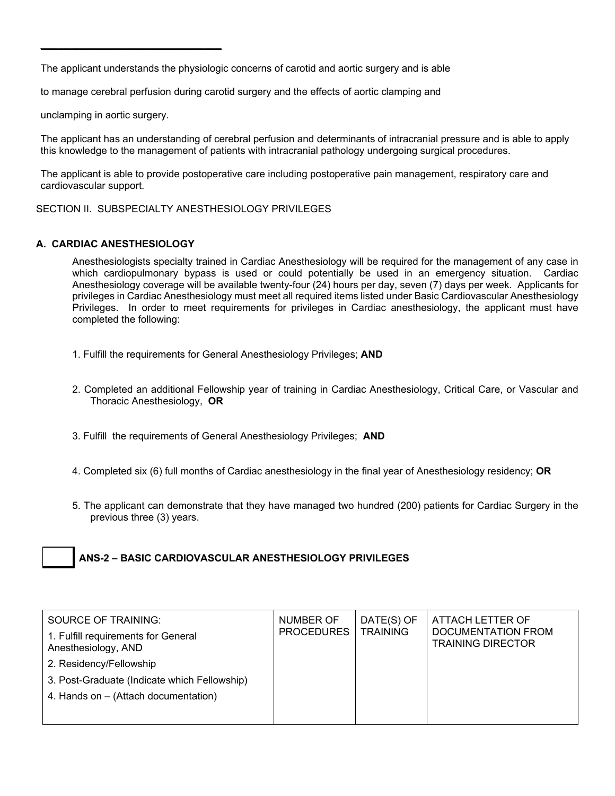The applicant understands the physiologic concerns of carotid and aortic surgery and is able

to manage cerebral perfusion during carotid surgery and the effects of aortic clamping and

unclamping in aortic surgery.

 $\_$ 

The applicant has an understanding of cerebral perfusion and determinants of intracranial pressure and is able to apply this knowledge to the management of patients with intracranial pathology undergoing surgical procedures.

The applicant is able to provide postoperative care including postoperative pain management, respiratory care and cardiovascular support.

SECTION II. SUBSPECIALTY ANESTHESIOLOGY PRIVILEGES

#### **A. CARDIAC ANESTHESIOLOGY**

Anesthesiologists specialty trained in Cardiac Anesthesiology will be required for the management of any case in which cardiopulmonary bypass is used or could potentially be used in an emergency situation. Cardiac Anesthesiology coverage will be available twenty-four (24) hours per day, seven (7) days per week. Applicants for privileges in Cardiac Anesthesiology must meet all required items listed under Basic Cardiovascular Anesthesiology Privileges. In order to meet requirements for privileges in Cardiac anesthesiology, the applicant must have completed the following:

- 1. Fulfill the requirements for General Anesthesiology Privileges; **AND**
- 2. Completed an additional Fellowship year of training in Cardiac Anesthesiology, Critical Care, or Vascular and Thoracic Anesthesiology, **OR**
- 3. Fulfill the requirements of General Anesthesiology Privileges; **AND**
- 4. Completed six (6) full months of Cardiac anesthesiology in the final year of Anesthesiology residency; **OR**
- 5. The applicant can demonstrate that they have managed two hundred (200) patients for Cardiac Surgery in the previous three (3) years.

# **ANS-2 – BASIC CARDIOVASCULAR ANESTHESIOLOGY PRIVILEGES**

| SOURCE OF TRAINING:<br>1. Fulfill requirements for General<br>Anesthesiology, AND | NUMBER OF<br>PROCEDURES | DATE(S) OF<br><b>TRAINING</b> | ATTACH LETTER OF<br>DOCUMENTATION FROM<br><b>TRAINING DIRECTOR</b> |
|-----------------------------------------------------------------------------------|-------------------------|-------------------------------|--------------------------------------------------------------------|
| 2. Residency/Fellowship                                                           |                         |                               |                                                                    |
| 3. Post-Graduate (Indicate which Fellowship)                                      |                         |                               |                                                                    |
| 4. Hands on - (Attach documentation)                                              |                         |                               |                                                                    |
|                                                                                   |                         |                               |                                                                    |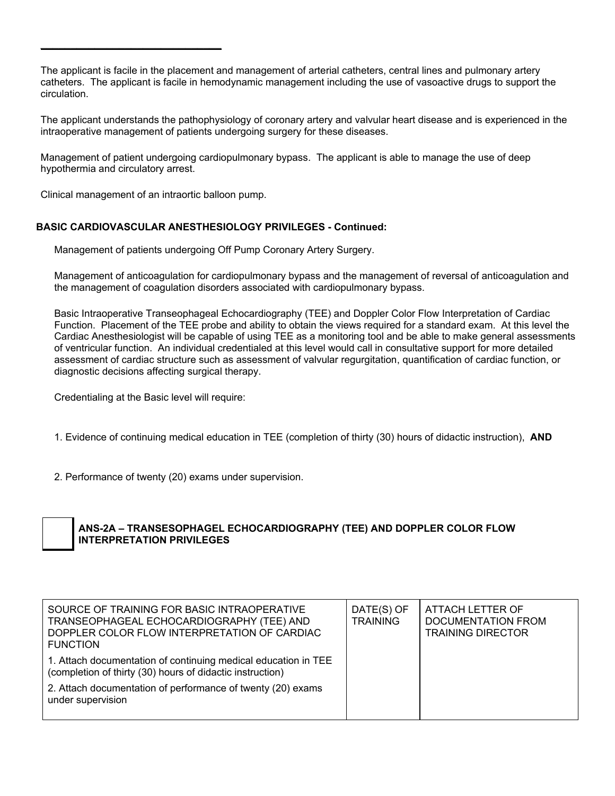The applicant is facile in the placement and management of arterial catheters, central lines and pulmonary artery catheters. The applicant is facile in hemodynamic management including the use of vasoactive drugs to support the circulation.

The applicant understands the pathophysiology of coronary artery and valvular heart disease and is experienced in the intraoperative management of patients undergoing surgery for these diseases.

Management of patient undergoing cardiopulmonary bypass. The applicant is able to manage the use of deep hypothermia and circulatory arrest.

Clinical management of an intraortic balloon pump.

 $\_$ 

#### **BASIC CARDIOVASCULAR ANESTHESIOLOGY PRIVILEGES - Continued:**

Management of patients undergoing Off Pump Coronary Artery Surgery.

Management of anticoagulation for cardiopulmonary bypass and the management of reversal of anticoagulation and the management of coagulation disorders associated with cardiopulmonary bypass.

Basic Intraoperative Transeophageal Echocardiography (TEE) and Doppler Color Flow Interpretation of Cardiac Function. Placement of the TEE probe and ability to obtain the views required for a standard exam. At this level the Cardiac Anesthesiologist will be capable of using TEE as a monitoring tool and be able to make general assessments of ventricular function. An individual credentialed at this level would call in consultative support for more detailed assessment of cardiac structure such as assessment of valvular regurgitation, quantification of cardiac function, or diagnostic decisions affecting surgical therapy.

Credentialing at the Basic level will require:

- 1. Evidence of continuing medical education in TEE (completion of thirty (30) hours of didactic instruction), **AND**
- 2. Performance of twenty (20) exams under supervision.



# **ANS-2A – TRANSESOPHAGEL ECHOCARDIOGRAPHY (TEE) AND DOPPLER COLOR FLOW INTERPRETATION PRIVILEGES**

| SOURCE OF TRAINING FOR BASIC INTRAOPERATIVE<br>TRANSEOPHAGEAL ECHOCARDIOGRAPHY (TEE) AND<br>DOPPLER COLOR FLOW INTERPRETATION OF CARDIAC<br><b>FUNCTION</b>                                                     | DATE(S) OF<br><b>TRAINING</b> | ATTACH LETTER OF<br><b>DOCUMENTATION FROM</b><br><b>TRAINING DIRECTOR</b> |
|-----------------------------------------------------------------------------------------------------------------------------------------------------------------------------------------------------------------|-------------------------------|---------------------------------------------------------------------------|
| 1. Attach documentation of continuing medical education in TEE<br>(completion of thirty (30) hours of didactic instruction)<br>2. Attach documentation of performance of twenty (20) exams<br>under supervision |                               |                                                                           |
|                                                                                                                                                                                                                 |                               |                                                                           |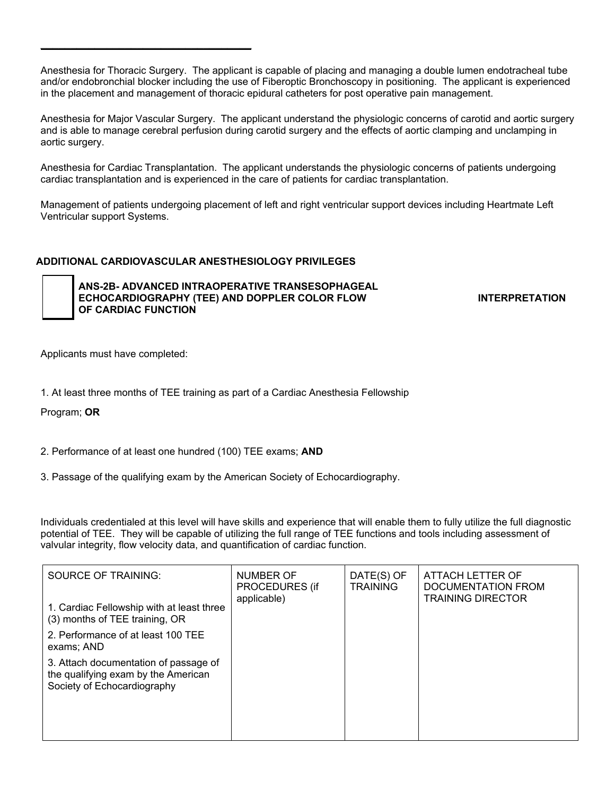Anesthesia for Thoracic Surgery. The applicant is capable of placing and managing a double lumen endotracheal tube and/or endobronchial blocker including the use of Fiberoptic Bronchoscopy in positioning. The applicant is experienced in the placement and management of thoracic epidural catheters for post operative pain management.

Anesthesia for Major Vascular Surgery. The applicant understand the physiologic concerns of carotid and aortic surgery and is able to manage cerebral perfusion during carotid surgery and the effects of aortic clamping and unclamping in aortic surgery.

Anesthesia for Cardiac Transplantation. The applicant understands the physiologic concerns of patients undergoing cardiac transplantation and is experienced in the care of patients for cardiac transplantation.

Management of patients undergoing placement of left and right ventricular support devices including Heartmate Left Ventricular support Systems.

#### **ADDITIONAL CARDIOVASCULAR ANESTHESIOLOGY PRIVILEGES**

 **ANS-2B- ADVANCED INTRAOPERATIVE TRANSESOPHAGEAL ECHOCARDIOGRAPHY (TEE) AND DOPPLER COLOR FLOW INTERPRETATION OF CARDIAC FUNCTION** 

Applicants must have completed:

\_\_\_\_\_\_\_\_\_\_\_\_\_\_\_\_\_\_\_\_\_\_\_\_\_\_\_\_\_\_\_\_\_\_\_

1. At least three months of TEE training as part of a Cardiac Anesthesia Fellowship

Program; **OR**

2. Performance of at least one hundred (100) TEE exams; **AND**

3. Passage of the qualifying exam by the American Society of Echocardiography.

Individuals credentialed at this level will have skills and experience that will enable them to fully utilize the full diagnostic potential of TEE. They will be capable of utilizing the full range of TEE functions and tools including assessment of valvular integrity, flow velocity data, and quantification of cardiac function.

| SOURCE OF TRAINING:<br>1. Cardiac Fellowship with at least three<br>(3) months of TEE training, OR          | NUMBER OF<br>PROCEDURES (if<br>applicable) | DATE(S) OF<br><b>TRAINING</b> | ATTACH LETTER OF<br>DOCUMENTATION FROM<br><b>TRAINING DIRECTOR</b> |
|-------------------------------------------------------------------------------------------------------------|--------------------------------------------|-------------------------------|--------------------------------------------------------------------|
| 2. Performance of at least 100 TEE<br>exams; AND                                                            |                                            |                               |                                                                    |
| 3. Attach documentation of passage of<br>the qualifying exam by the American<br>Society of Echocardiography |                                            |                               |                                                                    |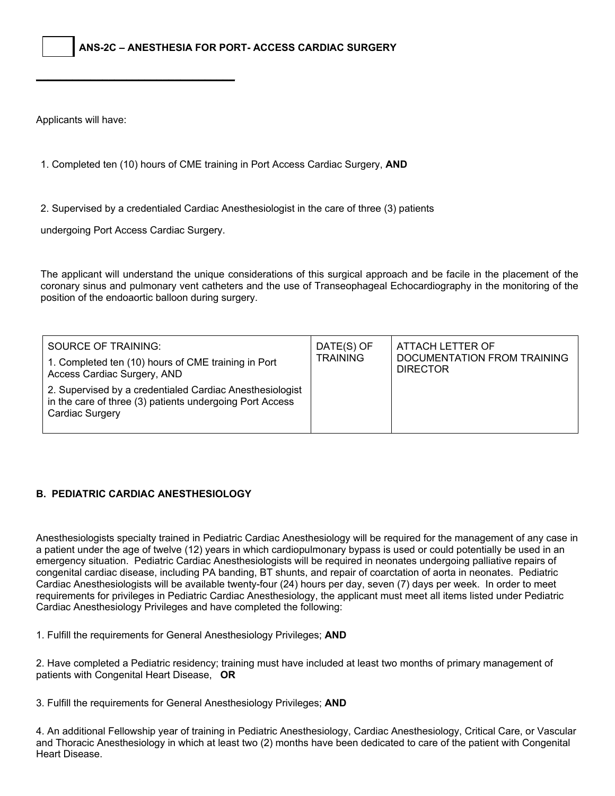**ANS-2C – ANESTHESIA FOR PORT- ACCESS CARDIAC SURGERY** 

Applicants will have:

1. Completed ten (10) hours of CME training in Port Access Cardiac Surgery, **AND**

2. Supervised by a credentialed Cardiac Anesthesiologist in the care of three (3) patients

undergoing Port Access Cardiac Surgery.

\_\_\_\_\_\_\_\_\_\_\_\_\_\_\_\_\_\_\_\_\_\_\_\_\_\_\_\_\_\_\_\_\_

The applicant will understand the unique considerations of this surgical approach and be facile in the placement of the coronary sinus and pulmonary vent catheters and the use of Transeophageal Echocardiography in the monitoring of the position of the endoaortic balloon during surgery.

| SOURCE OF TRAINING:<br>1. Completed ten (10) hours of CME training in Port<br>Access Cardiac Surgery, AND                               | DATE(S) OF<br><b>TRAINING</b> | ATTACH LETTER OF<br>DOCUMENTATION FROM TRAINING<br><b>DIRECTOR</b> |
|-----------------------------------------------------------------------------------------------------------------------------------------|-------------------------------|--------------------------------------------------------------------|
| 2. Supervised by a credentialed Cardiac Anesthesiologist<br>in the care of three (3) patients undergoing Port Access<br>Cardiac Surgery |                               |                                                                    |

#### **B. PEDIATRIC CARDIAC ANESTHESIOLOGY**

Anesthesiologists specialty trained in Pediatric Cardiac Anesthesiology will be required for the management of any case in a patient under the age of twelve (12) years in which cardiopulmonary bypass is used or could potentially be used in an emergency situation. Pediatric Cardiac Anesthesiologists will be required in neonates undergoing palliative repairs of congenital cardiac disease, including PA banding, BT shunts, and repair of coarctation of aorta in neonates. Pediatric Cardiac Anesthesiologists will be available twenty-four (24) hours per day, seven (7) days per week. In order to meet requirements for privileges in Pediatric Cardiac Anesthesiology, the applicant must meet all items listed under Pediatric Cardiac Anesthesiology Privileges and have completed the following:

1. Fulfill the requirements for General Anesthesiology Privileges; **AND**

2. Have completed a Pediatric residency; training must have included at least two months of primary management of patients with Congenital Heart Disease, **OR**

3. Fulfill the requirements for General Anesthesiology Privileges; **AND**

4. An additional Fellowship year of training in Pediatric Anesthesiology, Cardiac Anesthesiology, Critical Care, or Vascular and Thoracic Anesthesiology in which at least two (2) months have been dedicated to care of the patient with Congenital Heart Disease.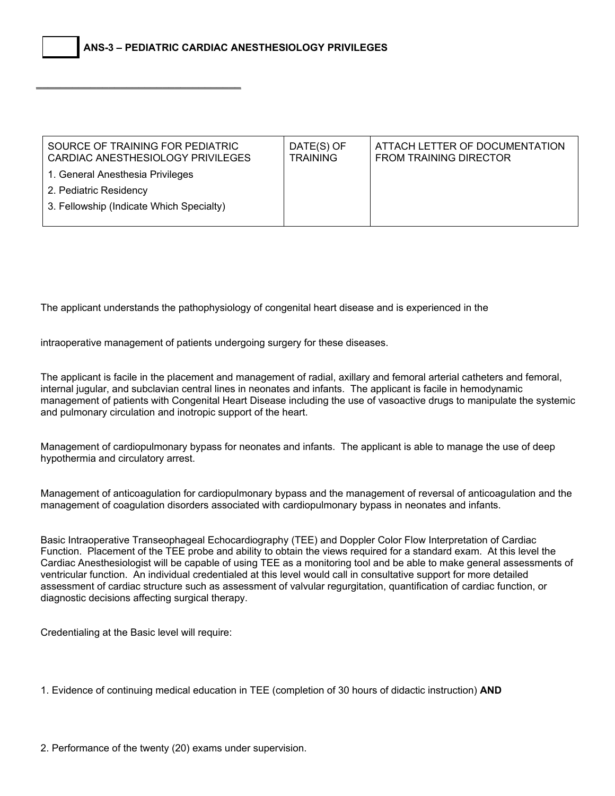\_\_\_\_\_\_\_\_\_\_\_\_\_\_\_\_\_\_\_\_\_\_\_\_\_\_\_\_\_\_\_\_\_\_

| SOURCE OF TRAINING FOR PEDIATRIC<br>CARDIAC ANESTHESIOLOGY PRIVILEGES | DATE(S) OF<br><b>TRAINING</b> | ATTACH LETTER OF DOCUMENTATION<br><b>FROM TRAINING DIRECTOR</b> |
|-----------------------------------------------------------------------|-------------------------------|-----------------------------------------------------------------|
| 1. General Anesthesia Privileges                                      |                               |                                                                 |
| 2. Pediatric Residency                                                |                               |                                                                 |
| 3. Fellowship (Indicate Which Specialty)                              |                               |                                                                 |
|                                                                       |                               |                                                                 |

The applicant understands the pathophysiology of congenital heart disease and is experienced in the

intraoperative management of patients undergoing surgery for these diseases.

The applicant is facile in the placement and management of radial, axillary and femoral arterial catheters and femoral, internal jugular, and subclavian central lines in neonates and infants. The applicant is facile in hemodynamic management of patients with Congenital Heart Disease including the use of vasoactive drugs to manipulate the systemic and pulmonary circulation and inotropic support of the heart.

Management of cardiopulmonary bypass for neonates and infants. The applicant is able to manage the use of deep hypothermia and circulatory arrest.

Management of anticoagulation for cardiopulmonary bypass and the management of reversal of anticoagulation and the management of coagulation disorders associated with cardiopulmonary bypass in neonates and infants.

Basic Intraoperative Transeophageal Echocardiography (TEE) and Doppler Color Flow Interpretation of Cardiac Function. Placement of the TEE probe and ability to obtain the views required for a standard exam. At this level the Cardiac Anesthesiologist will be capable of using TEE as a monitoring tool and be able to make general assessments of ventricular function. An individual credentialed at this level would call in consultative support for more detailed assessment of cardiac structure such as assessment of valvular regurgitation, quantification of cardiac function, or diagnostic decisions affecting surgical therapy.

Credentialing at the Basic level will require:

1. Evidence of continuing medical education in TEE (completion of 30 hours of didactic instruction) **AND**

2. Performance of the twenty (20) exams under supervision.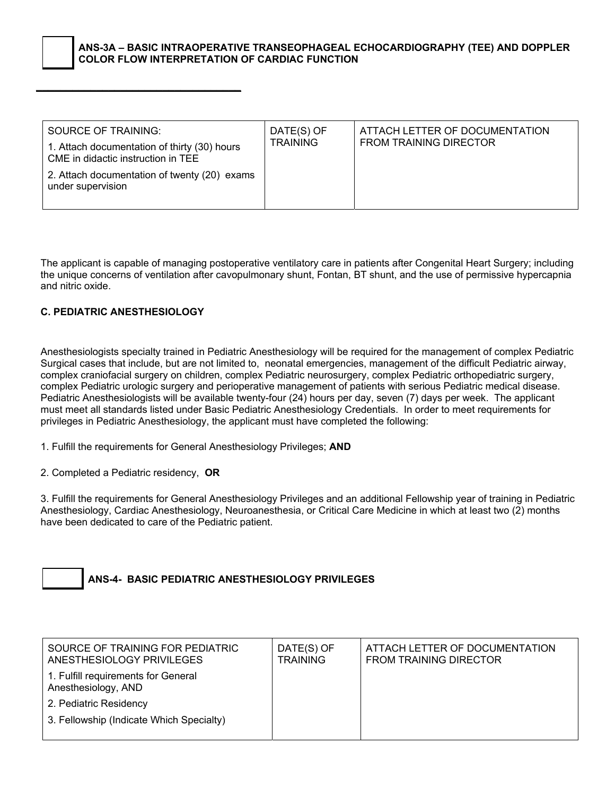#### **ANS-3A – BASIC INTRAOPERATIVE TRANSEOPHAGEAL ECHOCARDIOGRAPHY (TEE) AND DOPPLER COLOR FLOW INTERPRETATION OF CARDIAC FUNCTION**

The applicant is capable of managing postoperative ventilatory care in patients after Congenital Heart Surgery; including the unique concerns of ventilation after cavopulmonary shunt, Fontan, BT shunt, and the use of permissive hypercapnia and nitric oxide.

## **C. PEDIATRIC ANESTHESIOLOGY**

\_\_\_\_\_\_\_\_\_\_\_\_\_\_\_\_\_\_\_\_\_\_\_\_\_\_\_\_\_\_\_\_\_\_

Anesthesiologists specialty trained in Pediatric Anesthesiology will be required for the management of complex Pediatric Surgical cases that include, but are not limited to, neonatal emergencies, management of the difficult Pediatric airway, complex craniofacial surgery on children, complex Pediatric neurosurgery, complex Pediatric orthopediatric surgery, complex Pediatric urologic surgery and perioperative management of patients with serious Pediatric medical disease. Pediatric Anesthesiologists will be available twenty-four (24) hours per day, seven (7) days per week. The applicant must meet all standards listed under Basic Pediatric Anesthesiology Credentials. In order to meet requirements for privileges in Pediatric Anesthesiology, the applicant must have completed the following:

1. Fulfill the requirements for General Anesthesiology Privileges; **AND**

2. Completed a Pediatric residency, **OR**

3. Fulfill the requirements for General Anesthesiology Privileges and an additional Fellowship year of training in Pediatric Anesthesiology, Cardiac Anesthesiology, Neuroanesthesia, or Critical Care Medicine in which at least two (2) months have been dedicated to care of the Pediatric patient.



**ANS-4- BASIC PEDIATRIC ANESTHESIOLOGY PRIVILEGES** 

| SOURCE OF TRAINING FOR PEDIATRIC<br>ANESTHESIOLOGY PRIVILEGES | DATE(S) OF<br><b>TRAINING</b> | ATTACH LETTER OF DOCUMENTATION<br><b>FROM TRAINING DIRECTOR</b> |
|---------------------------------------------------------------|-------------------------------|-----------------------------------------------------------------|
| 1. Fulfill requirements for General<br>Anesthesiology, AND    |                               |                                                                 |
| 2. Pediatric Residency                                        |                               |                                                                 |
| 3. Fellowship (Indicate Which Specialty)                      |                               |                                                                 |
|                                                               |                               |                                                                 |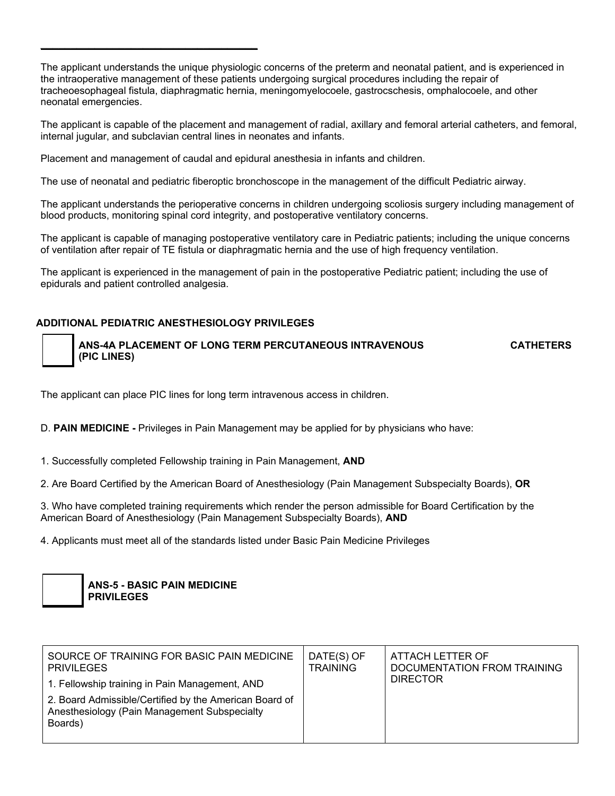The applicant understands the unique physiologic concerns of the preterm and neonatal patient, and is experienced in the intraoperative management of these patients undergoing surgical procedures including the repair of tracheoesophageal fistula, diaphragmatic hernia, meningomyelocoele, gastrocschesis, omphalocoele, and other neonatal emergencies.

The applicant is capable of the placement and management of radial, axillary and femoral arterial catheters, and femoral, internal jugular, and subclavian central lines in neonates and infants.

Placement and management of caudal and epidural anesthesia in infants and children.

The use of neonatal and pediatric fiberoptic bronchoscope in the management of the difficult Pediatric airway.

The applicant understands the perioperative concerns in children undergoing scoliosis surgery including management of blood products, monitoring spinal cord integrity, and postoperative ventilatory concerns.

The applicant is capable of managing postoperative ventilatory care in Pediatric patients; including the unique concerns of ventilation after repair of TE fistula or diaphragmatic hernia and the use of high frequency ventilation.

The applicant is experienced in the management of pain in the postoperative Pediatric patient; including the use of epidurals and patient controlled analgesia.

# **ADDITIONAL PEDIATRIC ANESTHESIOLOGY PRIVILEGES**

\_\_\_\_\_\_\_\_\_\_\_\_\_\_\_\_\_\_\_\_\_\_\_\_\_\_\_\_\_\_\_\_\_\_\_\_

 **ANS-4A PLACEMENT OF LONG TERM PERCUTANEOUS INTRAVENOUS CATHETERS (PIC LINES)** 

The applicant can place PIC lines for long term intravenous access in children.

D. **PAIN MEDICINE -** Privileges in Pain Management may be applied for by physicians who have:

1. Successfully completed Fellowship training in Pain Management, **AND**

2. Are Board Certified by the American Board of Anesthesiology (Pain Management Subspecialty Boards), **OR**

3. Who have completed training requirements which render the person admissible for Board Certification by the American Board of Anesthesiology (Pain Management Subspecialty Boards), **AND**

4. Applicants must meet all of the standards listed under Basic Pain Medicine Privileges

| <b>ANS-5 - BASIC PAIN MEDICINE</b> |
|------------------------------------|
| <b>PRIVILEGES</b>                  |

| SOURCE OF TRAINING FOR BASIC PAIN MEDICINE<br><b>PRIVILEGES</b>                                                   | DATE(S) OF<br><b>TRAINING</b> | ATTACH LETTER OF<br>DOCUMENTATION FROM TRAINING |
|-------------------------------------------------------------------------------------------------------------------|-------------------------------|-------------------------------------------------|
| 1. Fellowship training in Pain Management, AND                                                                    |                               | <b>DIRECTOR</b>                                 |
| 2. Board Admissible/Certified by the American Board of<br>Anesthesiology (Pain Management Subspecialty<br>Boards) |                               |                                                 |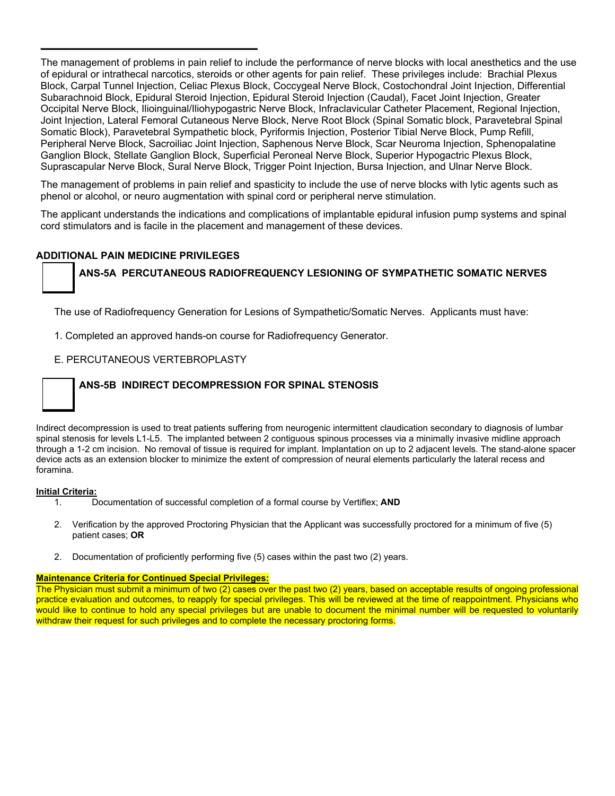The management of problems in pain relief to include the performance of nerve blocks with local anesthetics and the use of epidural or intrathecal narcotics, steroids or other agents for pain relief. These privileges include: Brachial Plexus Block, Carpal Tunnel Injection, Celiac Plexus Block, Coccygeal Nerve Block, Costochondral Joint Injection, Differential Subarachnoid Block, Epidural Steroid Injection, Epidural Steroid Injection (Caudal), Facet Joint Injection, Greater Occipital Nerve Block, Ilioinguinal/Iliohypogastric Nerve Block, Infraclavicular Catheter Placement, Regional Injection, Joint Injection, Lateral Femoral Cutaneous Nerve Block, Nerve Root Block (Spinal Somatic block, Paravetebral Spinal Somatic Block), Paravetebral Sympathetic block, Pyriformis Injection, Posterior Tibial Nerve Block, Pump Refill, Peripheral Nerve Block, Sacroiliac Joint Injection, Saphenous Nerve Block, Scar Neuroma Injection, Sphenopalatine Ganglion Block, Stellate Ganglion Block, Superficial Peroneal Nerve Block, Superior Hypogactric Plexus Block, Suprascapular Nerve Block, Sural Nerve Block, Trigger Point Injection, Bursa Injection, and Ulnar Nerve Block.

The management of problems in pain relief and spasticity to include the use of nerve blocks with lytic agents such as phenol or alcohol, or neuro augmentation with spinal cord or peripheral nerve stimulation.

The applicant understands the indications and complications of implantable epidural infusion pump systems and spinal cord stimulators and is facile in the placement and management of these devices.

#### **ADDITIONAL PAIN MEDICINE PRIVILEGES**

\_\_\_\_\_\_\_\_\_\_\_\_\_\_\_\_\_\_\_\_\_\_\_\_\_\_\_\_\_\_\_\_\_\_\_\_

#### **ANS-5A PERCUTANEOUS RADIOFREQUENCY LESIONING OF SYMPATHETIC SOMATIC NERVES**

The use of Radiofrequency Generation for Lesions of Sympathetic/Somatic Nerves. Applicants must have:

1. Completed an approved hands-on course for Radiofrequency Generator.

#### E. PERCUTANEOUS VERTEBROPLASTY

#### **ANS-5B INDIRECT DECOMPRESSION FOR SPINAL STENOSIS**

Indirect decompression is used to treat patients suffering from neurogenic intermittent claudication secondary to diagnosis of lumbar spinal stenosis for levels L1-L5. The implanted between 2 contiguous spinous processes via a minimally invasive midline approach through a 1-2 cm incision. No removal of tissue is required for implant. Implantation on up to 2 adjacent levels. The stand-alone spacer device acts as an extension blocker to minimize the extent of compression of neural elements particularly the lateral recess and foramina.

#### **Initial Criteria:**

- 1. Documentation of successful completion of a formal course by Vertiflex; **AND**
- 2. Verification by the approved Proctoring Physician that the Applicant was successfully proctored for a minimum of five (5) patient cases; **OR**
- 2. Documentation of proficiently performing five (5) cases within the past two (2) years.

#### **Maintenance Criteria for Continued Special Privileges:**

The Physician must submit a minimum of two (2) cases over the past two (2) years, based on acceptable results of ongoing professional practice evaluation and outcomes, to reapply for special privileges. This will be reviewed at the time of reappointment. Physicians who would like to continue to hold any special privileges but are unable to document the minimal number will be requested to voluntarily withdraw their request for such privileges and to complete the necessary proctoring forms.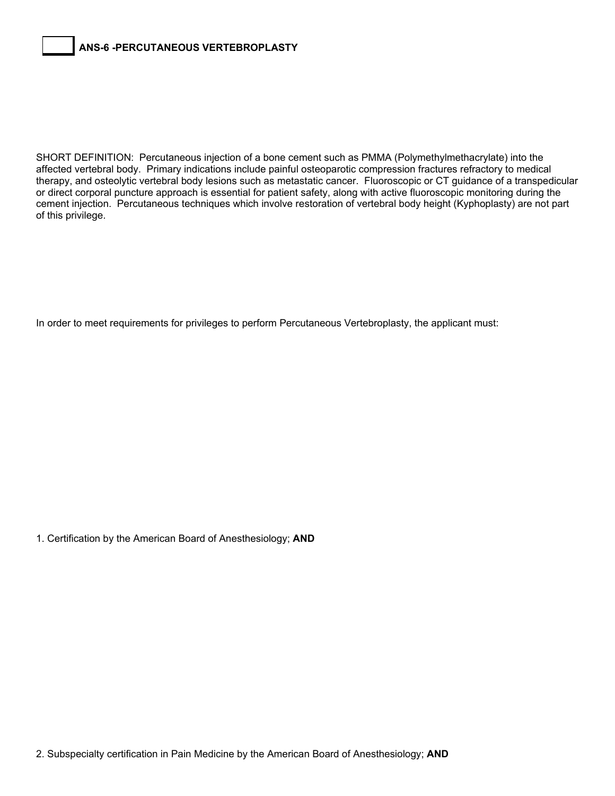SHORT DEFINITION: Percutaneous injection of a bone cement such as PMMA (Polymethylmethacrylate) into the affected vertebral body. Primary indications include painful osteoparotic compression fractures refractory to medical therapy, and osteolytic vertebral body lesions such as metastatic cancer. Fluoroscopic or CT guidance of a transpedicular or direct corporal puncture approach is essential for patient safety, along with active fluoroscopic monitoring during the cement injection. Percutaneous techniques which involve restoration of vertebral body height (Kyphoplasty) are not part of this privilege.

In order to meet requirements for privileges to perform Percutaneous Vertebroplasty, the applicant must:

1. Certification by the American Board of Anesthesiology; **AND**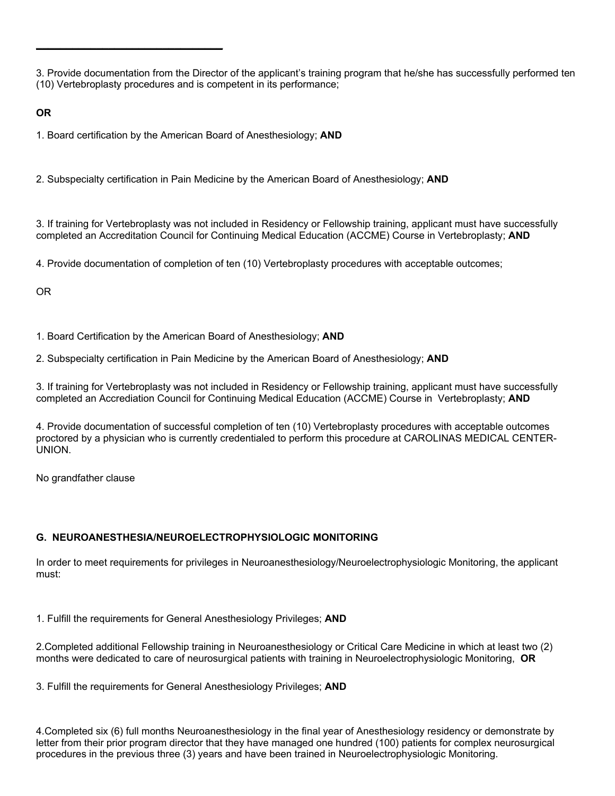3. Provide documentation from the Director of the applicant's training program that he/she has successfully performed ten (10) Vertebroplasty procedures and is competent in its performance;

**OR** 

1. Board certification by the American Board of Anesthesiology; **AND**

\_\_\_\_\_\_\_\_\_\_\_\_\_\_\_\_\_\_\_\_\_\_\_\_\_\_\_\_\_\_\_

2. Subspecialty certification in Pain Medicine by the American Board of Anesthesiology; **AND**

3. If training for Vertebroplasty was not included in Residency or Fellowship training, applicant must have successfully completed an Accreditation Council for Continuing Medical Education (ACCME) Course in Vertebroplasty; **AND**

4. Provide documentation of completion of ten (10) Vertebroplasty procedures with acceptable outcomes;

OR

1. Board Certification by the American Board of Anesthesiology; **AND** 

2. Subspecialty certification in Pain Medicine by the American Board of Anesthesiology; **AND** 

3. If training for Vertebroplasty was not included in Residency or Fellowship training, applicant must have successfully completed an Accrediation Council for Continuing Medical Education (ACCME) Course in Vertebroplasty; **AND** 

4. Provide documentation of successful completion of ten (10) Vertebroplasty procedures with acceptable outcomes proctored by a physician who is currently credentialed to perform this procedure at CAROLINAS MEDICAL CENTER-UNION.

No grandfather clause

#### **G. NEUROANESTHESIA/NEUROELECTROPHYSIOLOGIC MONITORING**

In order to meet requirements for privileges in Neuroanesthesiology/Neuroelectrophysiologic Monitoring, the applicant must:

1. Fulfill the requirements for General Anesthesiology Privileges; **AND**

2.Completed additional Fellowship training in Neuroanesthesiology or Critical Care Medicine in which at least two (2) months were dedicated to care of neurosurgical patients with training in Neuroelectrophysiologic Monitoring, **OR** 

3. Fulfill the requirements for General Anesthesiology Privileges; **AND**

4.Completed six (6) full months Neuroanesthesiology in the final year of Anesthesiology residency or demonstrate by letter from their prior program director that they have managed one hundred (100) patients for complex neurosurgical procedures in the previous three (3) years and have been trained in Neuroelectrophysiologic Monitoring.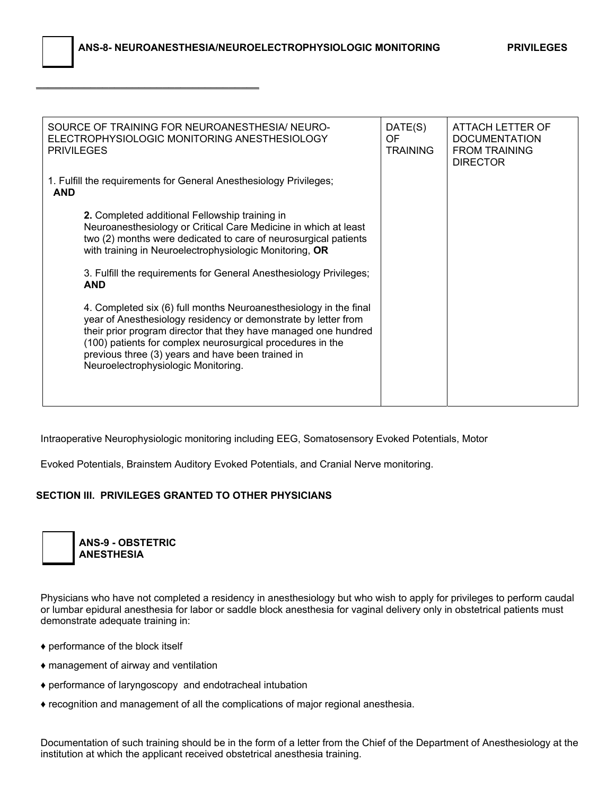\_\_\_\_\_\_\_\_\_\_\_\_\_\_\_\_\_\_\_\_\_\_\_\_\_\_\_\_\_\_\_\_\_\_\_\_\_

| SOURCE OF TRAINING FOR NEUROANESTHESIA/ NEURO-<br>ELECTROPHYSIOLOGIC MONITORING ANESTHESIOLOGY<br><b>PRIVILEGES</b>                                                                                                                                                                                                                                              | DATE(S)<br>OF.<br><b>TRAINING</b> | ATTACH LETTER OF<br><b>DOCUMENTATION</b><br><b>FROM TRAINING</b><br><b>DIRECTOR</b> |
|------------------------------------------------------------------------------------------------------------------------------------------------------------------------------------------------------------------------------------------------------------------------------------------------------------------------------------------------------------------|-----------------------------------|-------------------------------------------------------------------------------------|
| 1. Fulfill the requirements for General Anesthesiology Privileges;<br><b>AND</b>                                                                                                                                                                                                                                                                                 |                                   |                                                                                     |
| 2. Completed additional Fellowship training in<br>Neuroanesthesiology or Critical Care Medicine in which at least<br>two (2) months were dedicated to care of neurosurgical patients<br>with training in Neuroelectrophysiologic Monitoring, OR                                                                                                                  |                                   |                                                                                     |
| 3. Fulfill the requirements for General Anesthesiology Privileges;<br><b>AND</b>                                                                                                                                                                                                                                                                                 |                                   |                                                                                     |
| 4. Completed six (6) full months Neuroanesthesiology in the final<br>year of Anesthesiology residency or demonstrate by letter from<br>their prior program director that they have managed one hundred<br>(100) patients for complex neurosurgical procedures in the<br>previous three (3) years and have been trained in<br>Neuroelectrophysiologic Monitoring. |                                   |                                                                                     |

Intraoperative Neurophysiologic monitoring including EEG, Somatosensory Evoked Potentials, Motor

Evoked Potentials, Brainstem Auditory Evoked Potentials, and Cranial Nerve monitoring.

#### **SECTION III. PRIVILEGES GRANTED TO OTHER PHYSICIANS**



Physicians who have not completed a residency in anesthesiology but who wish to apply for privileges to perform caudal or lumbar epidural anesthesia for labor or saddle block anesthesia for vaginal delivery only in obstetrical patients must demonstrate adequate training in:

- ♦ performance of the block itself
- ♦ management of airway and ventilation
- ♦ performance of laryngoscopy and endotracheal intubation
- ♦ recognition and management of all the complications of major regional anesthesia.

Documentation of such training should be in the form of a letter from the Chief of the Department of Anesthesiology at the institution at which the applicant received obstetrical anesthesia training.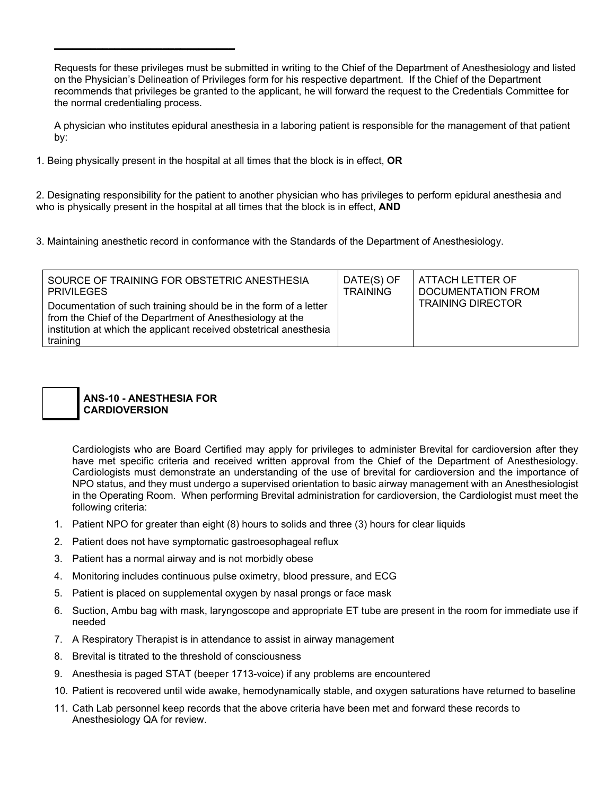Requests for these privileges must be submitted in writing to the Chief of the Department of Anesthesiology and listed on the Physician's Delineation of Privileges form for his respective department. If the Chief of the Department recommends that privileges be granted to the applicant, he will forward the request to the Credentials Committee for the normal credentialing process.

A physician who institutes epidural anesthesia in a laboring patient is responsible for the management of that patient by:

1. Being physically present in the hospital at all times that the block is in effect, **OR**

2. Designating responsibility for the patient to another physician who has privileges to perform epidural anesthesia and who is physically present in the hospital at all times that the block is in effect, **AND**

3. Maintaining anesthetic record in conformance with the Standards of the Department of Anesthesiology.

| SOURCE OF TRAINING FOR OBSTETRIC ANESTHESIA                                                                                                                                                                     | DATE(S) OF      | ATTACH LETTER OF          |
|-----------------------------------------------------------------------------------------------------------------------------------------------------------------------------------------------------------------|-----------------|---------------------------|
| PRIVILEGES                                                                                                                                                                                                      | <b>TRAINING</b> | <b>DOCUMENTATION FROM</b> |
| Documentation of such training should be in the form of a letter<br>from the Chief of the Department of Anesthesiology at the<br>institution at which the applicant received obstetrical anesthesia<br>training |                 | <b>TRAINING DIRECTOR</b>  |



 $\_$ 

Cardiologists who are Board Certified may apply for privileges to administer Brevital for cardioversion after they have met specific criteria and received written approval from the Chief of the Department of Anesthesiology. Cardiologists must demonstrate an understanding of the use of brevital for cardioversion and the importance of NPO status, and they must undergo a supervised orientation to basic airway management with an Anesthesiologist in the Operating Room. When performing Brevital administration for cardioversion, the Cardiologist must meet the following criteria:

- 1. Patient NPO for greater than eight (8) hours to solids and three (3) hours for clear liquids
- 2. Patient does not have symptomatic gastroesophageal reflux
- 3. Patient has a normal airway and is not morbidly obese
- 4. Monitoring includes continuous pulse oximetry, blood pressure, and ECG
- 5. Patient is placed on supplemental oxygen by nasal prongs or face mask
- 6. Suction, Ambu bag with mask, laryngoscope and appropriate ET tube are present in the room for immediate use if needed
- 7. A Respiratory Therapist is in attendance to assist in airway management
- 8. Brevital is titrated to the threshold of consciousness
- 9. Anesthesia is paged STAT (beeper 1713-voice) if any problems are encountered
- 10. Patient is recovered until wide awake, hemodynamically stable, and oxygen saturations have returned to baseline
- 11. Cath Lab personnel keep records that the above criteria have been met and forward these records to Anesthesiology QA for review.